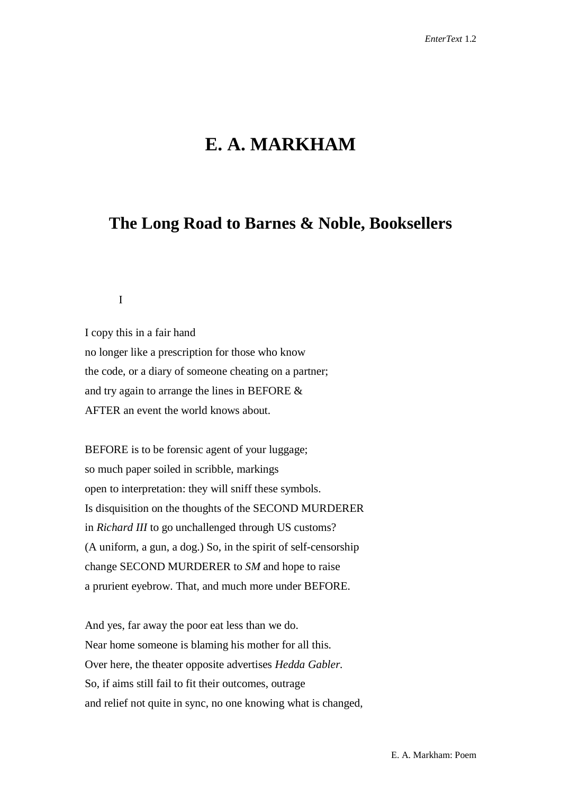## **E. A. MARKHAM**

## **The Long Road to Barnes & Noble, Booksellers**

I

I copy this in a fair hand no longer like a prescription for those who know the code, or a diary of someone cheating on a partner; and try again to arrange the lines in BEFORE & AFTER an event the world knows about.

BEFORE is to be forensic agent of your luggage; so much paper soiled in scribble, markings open to interpretation: they will sniff these symbols. Is disquisition on the thoughts of the SECOND MURDERER in *Richard III* to go unchallenged through US customs? (A uniform, a gun, a dog.) So, in the spirit of self-censorship change SECOND MURDERER to *SM* and hope to raise a prurient eyebrow. That, and much more under BEFORE.

And yes, far away the poor eat less than we do. Near home someone is blaming his mother for all this. Over here, the theater opposite advertises *Hedda Gabler.* So, if aims still fail to fit their outcomes, outrage and relief not quite in sync, no one knowing what is changed,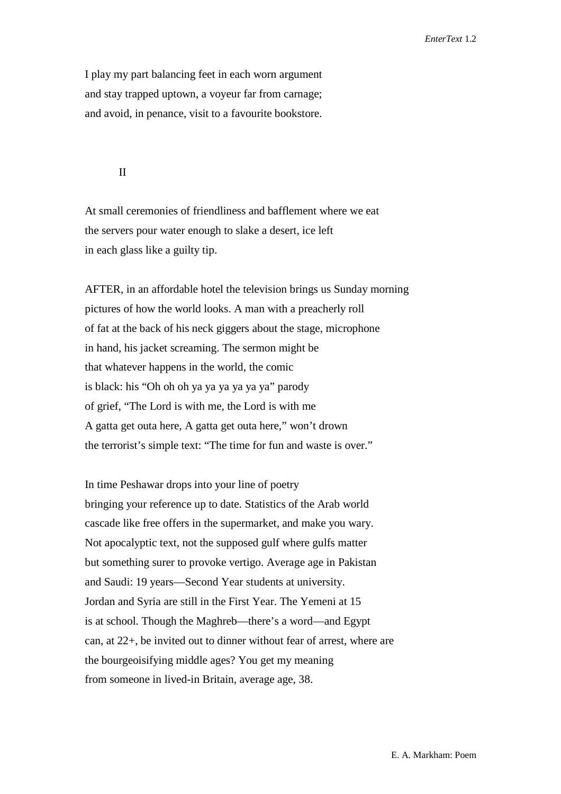I play my part balancing feet in each worn argument and stay trapped uptown, a voyeur far from carnage; and avoid, in penance, visit to a favourite bookstore.

## II

At small ceremonies of friendliness and bafflement where we eat the servers pour water enough to slake a desert, ice left in each glass like a guilty tip.

AFTER, in an affordable hotel the television brings us Sunday morning pictures of how the world looks. A man with a preacherly roll of fat at the back of his neck giggers about the stage, microphone in hand, his jacket screaming. The sermon might be that whatever happens in the world, the comic is black: his "Oh oh oh ya ya ya ya ya ya" parody of grief, "The Lord is with me, the Lord is with me A gatta get outa here, A gatta get outa here," won't drown the terrorist's simple text: "The time for fun and waste is over."

In time Peshawar drops into your line of poetry bringing your reference up to date. Statistics of the Arab world cascade like free offers in the supermarket, and make you wary. Not apocalyptic text, not the supposed gulf where gulfs matter but something surer to provoke vertigo. Average age in Pakistan and Saudi: 19 years—Second Year students at university. Jordan and Syria are still in the First Year. The Yemeni at 15 is at school. Though the Maghreb—there's a word—and Egypt can, at 22+, be invited out to dinner without fear of arrest, where are the bourgeoisifying middle ages? You get my meaning from someone in lived-in Britain, average age, 38.